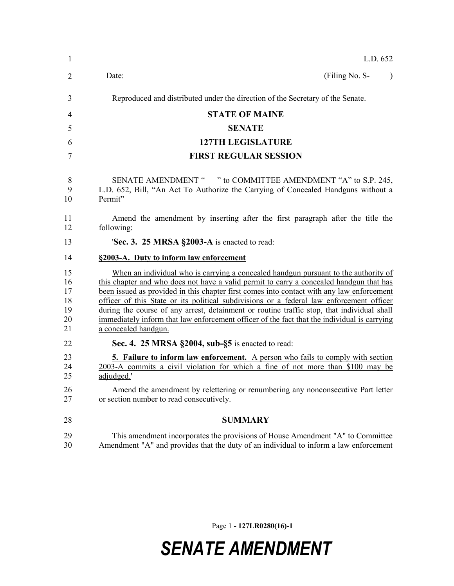| 1                                      | L.D. 652                                                                                                                                                                                                                                                                                                                                                                                                                                                                                                                                                                                     |
|----------------------------------------|----------------------------------------------------------------------------------------------------------------------------------------------------------------------------------------------------------------------------------------------------------------------------------------------------------------------------------------------------------------------------------------------------------------------------------------------------------------------------------------------------------------------------------------------------------------------------------------------|
| $\overline{2}$                         | Date:<br>(Filing No. S-<br>$\lambda$                                                                                                                                                                                                                                                                                                                                                                                                                                                                                                                                                         |
| 3                                      | Reproduced and distributed under the direction of the Secretary of the Senate.                                                                                                                                                                                                                                                                                                                                                                                                                                                                                                               |
| $\overline{4}$                         | <b>STATE OF MAINE</b>                                                                                                                                                                                                                                                                                                                                                                                                                                                                                                                                                                        |
| 5                                      | <b>SENATE</b>                                                                                                                                                                                                                                                                                                                                                                                                                                                                                                                                                                                |
| 6                                      | <b>127TH LEGISLATURE</b>                                                                                                                                                                                                                                                                                                                                                                                                                                                                                                                                                                     |
| 7                                      | <b>FIRST REGULAR SESSION</b>                                                                                                                                                                                                                                                                                                                                                                                                                                                                                                                                                                 |
| 8<br>9<br>10                           | SENATE AMENDMENT " " to COMMITTEE AMENDMENT "A" to S.P. 245,<br>L.D. 652, Bill, "An Act To Authorize the Carrying of Concealed Handguns without a<br>Permit"                                                                                                                                                                                                                                                                                                                                                                                                                                 |
| 11<br>12                               | Amend the amendment by inserting after the first paragraph after the title the<br>following:                                                                                                                                                                                                                                                                                                                                                                                                                                                                                                 |
| 13                                     | 'Sec. 3. 25 MRSA §2003-A is enacted to read:                                                                                                                                                                                                                                                                                                                                                                                                                                                                                                                                                 |
| 14                                     | §2003-A. Duty to inform law enforcement                                                                                                                                                                                                                                                                                                                                                                                                                                                                                                                                                      |
| 15<br>16<br>17<br>18<br>19<br>20<br>21 | When an individual who is carrying a concealed handgun pursuant to the authority of<br>this chapter and who does not have a valid permit to carry a concealed handgun that has<br>been issued as provided in this chapter first comes into contact with any law enforcement<br>officer of this State or its political subdivisions or a federal law enforcement officer<br>during the course of any arrest, detainment or routine traffic stop, that individual shall<br>immediately inform that law enforcement officer of the fact that the individual is carrying<br>a concealed handgun. |
| 22                                     | Sec. 4. 25 MRSA §2004, sub-§5 is enacted to read:                                                                                                                                                                                                                                                                                                                                                                                                                                                                                                                                            |
| 23<br>24<br>25<br>26<br>27             | <b>5. Failure to inform law enforcement.</b> A person who fails to comply with section<br>2003-A commits a civil violation for which a fine of not more than \$100 may be<br>adjudged.'<br>Amend the amendment by relettering or renumbering any nonconsecutive Part letter<br>or section number to read consecutively.                                                                                                                                                                                                                                                                      |
| 28                                     | <b>SUMMARY</b>                                                                                                                                                                                                                                                                                                                                                                                                                                                                                                                                                                               |
| 29<br>30                               | This amendment incorporates the provisions of House Amendment "A" to Committee<br>Amendment "A" and provides that the duty of an individual to inform a law enforcement                                                                                                                                                                                                                                                                                                                                                                                                                      |

Page 1 **- 127LR0280(16)-1**

## *SENATE AMENDMENT*